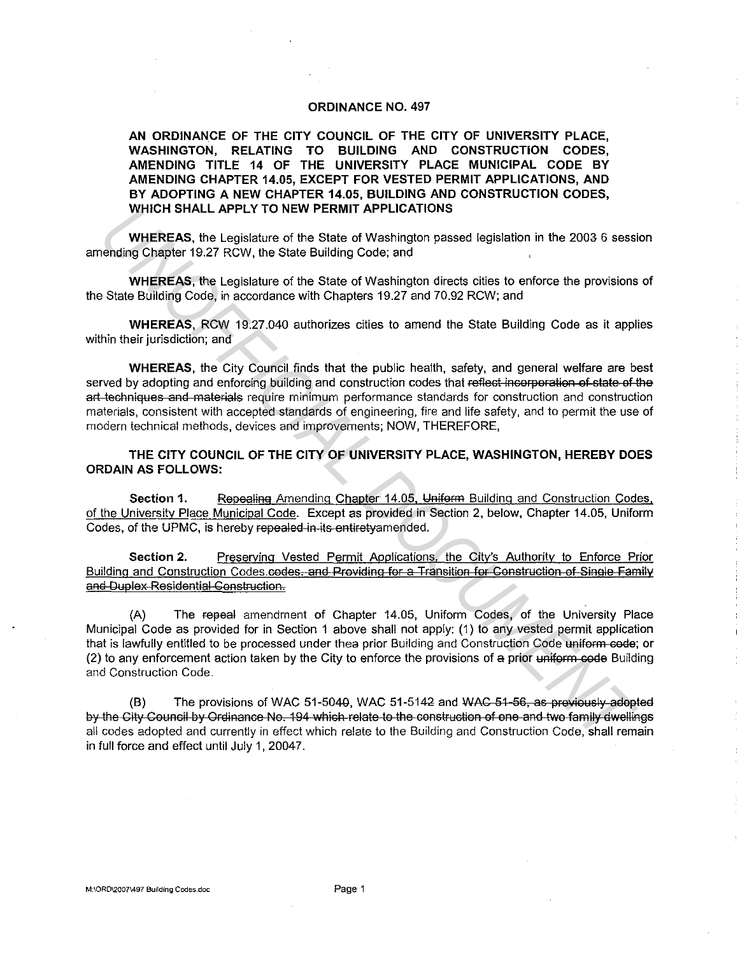# **ORDINANCE NO. 497**

**AN ORDINANCE OF THE CITY COUNCIL OF THE CITY OF UNIVERSITY PLACE, WASHINGTON, RELATING TO BUILDING AND CONSTRUCTION CODES, AMENDING TITLE 14 OF THE UNIVERSITY PLACE MUNICIPAL CODE BY AMENDING CHAPTER 14.05, EXCEPT FOR VESTED PERMIT APPLICATIONS, AND BY ADOPTING A NEW CHAPTER 14.05, BUILDING AND CONSTRUCTION CODES, WHICH SHALL APPLY TO NEW PERMIT APPLICATIONS** 

WHEREAS, the Legislature of the State of Washington passed legislation in the 2003 6 session amending Chapter 19.27 RCW, the State Building Code; and

**WHEREAS,** the Legislature of the State of Washington directs cities to enforce the provisions of the State Building Code, in accordance with Chapters 19.27 and 70.92 RCW; and

**WHEREAS,** RCW 19.27.040 authorizes cities to amend the State Building Code as it applies within their jurisdiction; and

**WHEREAS,** the City Council finds that the public health, safety, and general welfare are best served by adopting and enforcing building and construction codes that reflect incorporation of state of the art techniques and materials require minimum performance standards for construction and construction materials, consistent with accepted standards of engineering, fire and life safety, and to permit the use of modern technical methods, devices and improvements; NOW, THEREFORE, WHICH SHALL APPLY 10 NEW PERMIT APPLICATIONS<br>
WHEREAS, the Legislature of the State of Washington passed legislation in the 2003 6 sessi<br>
WHEREAS, the Legislature of the State of Washington passed legislation in the 2003 6

**THE CITY COUNCIL OF THE CITY OF UNIVERSITY PLACE, WASHINGTON, HEREBY DOES ORDAIN AS FOLLOWS:** 

Section 1. **Repealing Amending Chapter 14.05, Uniform Building and Construction Codes,** of the University Place Municipal Code. Except as provided in Section 2, below, Chapter 14.05, Uniform Codes, of the UPMC, is hereby repealed-in-its-entiretyamended.

**Section 2.** Preserving Vested Permit Applications, the City's Authority to Enforce Prior Building and Construction Codes.codes. and Providing for a Transition for Construction of Single Family and Duplex Residential Construction.

(A) The repeal amendment of Chapter 14.05, Uniform Codes, of the University Place Municipal Code as provided for in Section 1 above shall not apply: (1) to any vested permit application that is lawfully entitled to be processed under thea prior Building and Construction Code uniform code; or (2) to any enforcement action taken by the City to enforce the provisions of a prior uniform code Building and Construction Code.

(B) The provisions of WAC 51-5040, WAC 51-5142 and  $WAG-51-56$ , as previously adopted by the City Council by Ordinance No. 194 which relate to the construction of one and two family dwellings all codes adopted and currently in effect which relate to the Building and Construction Code, shall remain in full force and effect until July 1, 20047.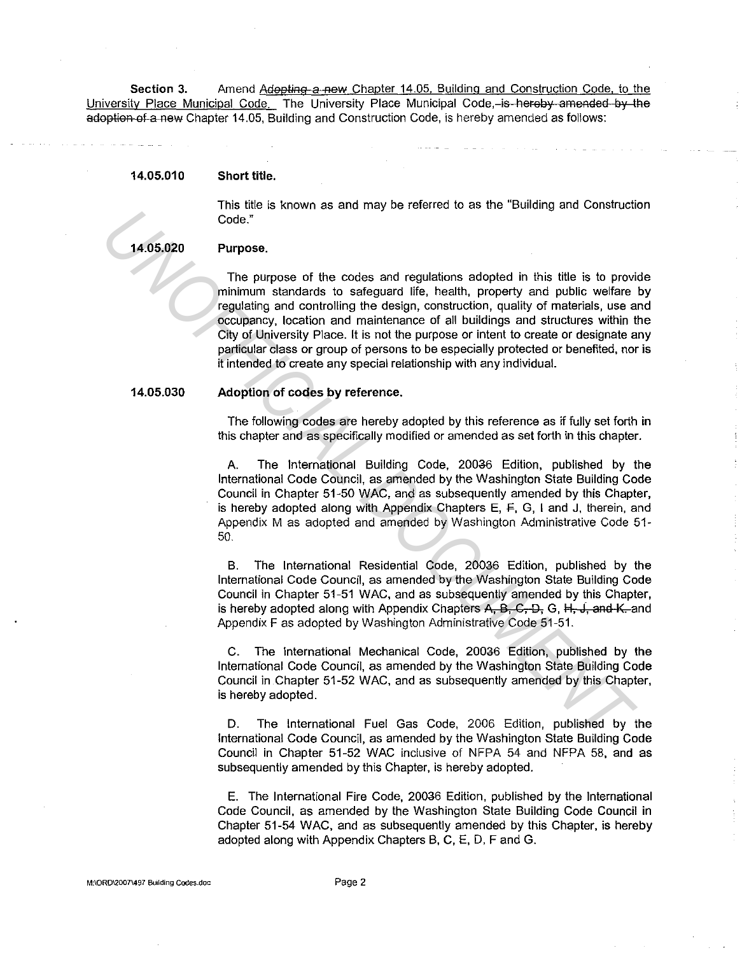Section 3. Amend Adopting a new Chapter 14.05, Building and Construction Code, to the University Place Municipal Code. The University Place Municipal Code, is hereby amended by the adoption of a new Chapter 14.05, Building and Construction Code, is hereby amended as follows:

#### 14.05.010 Short title.

This title is known as and may be referred to as the "Building and Construction Code."

### 14.05.020

# Purpose.

The purpose of the codes and regulations adopted in this title is to provide minimum standards to safeguard life, health, property and public welfare by regulating and controlling the design, construction, quality of materials, use and occupancy, location and maintenance of all buildings and structures within the City of University Place. It is not the purpose or intent to create or designate any particular class or group of persons to be especially protected or benefited, nor is it intended to create any special relationship with any individual. Code.<sup>8</sup><br>
The purpose of the codes and regulations adopted in this title is to provide<br>
The purpose of the codes and regulations adopted in this title is to provide<br>
minimum standards to selegare file, hostitudion, quality

## 14.05.030

# Adoption of codes by reference.

The following codes are hereby adopted by this reference as if fully set forth in this chapter and as specifically modified or amended as set forth in this chapter.

A. The International Building Code, 20036 Edition, published by the International Code Council, as amended by the Washington State Building Code Council in Chapter 51-50 WAC, and as subsequently amended by this Chapter, is hereby adopted along with Appendix Chapters E,  $\overline{F}$ , G, I and J, therein, and Appendix M as adopted and amended by Washington Administrative Code 51- 50.

B. The International Residential Code, 20036 Edition, published by the International Code Council, as amended by the Washington State Building Code Council in Chapter 51-51 WAC, and as subsequently amended by this Chapter, is hereby adopted along with Appendix Chapters  $A$ ,  $B$ ,  $C$ ,  $D$ ,  $G$ ,  $H$ ,  $J$ , and  $K$ , and Appendix F as adopted by Washington Administrative Code 51-51.

C. The International Mechanical Code, 20036 Edition, published by the International Code Council, as amended by the Washington State Building Code Council in Chapter 51-52 WAC, and as subsequently amended by this Chapter, is hereby adopted.

D. The International Fuel Gas Code, 2006 Edition, published by the International Code Council, as amended by the Washington State Building Code Council in Chapter 51-52 WAC inclusive of NFPA 54 and NFPA 58, and as subsequently amended by this Chapter, is hereby adopted.

E. The International Fire Code, 20036 Edition, published by the International Code Council, as amended by the Washington State Building Code Council in Chapter 51-54 WAC, and as subsequently amended by this Chapter, is hereby adopted along with Appendix Chapters B, C, E, D, F and G.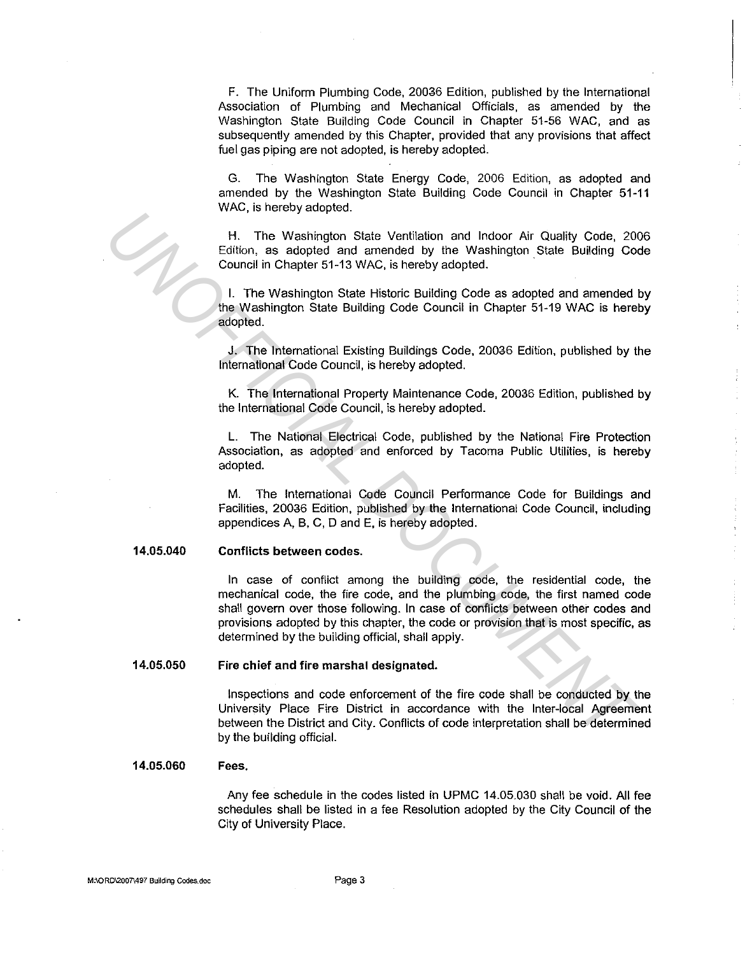F. The Uniform Plumbing Code, 20036 Edition, published by the International Association of Plumbing and Mechanical Officials, as amended by the Washington State Building Code Council in Chapter 51-56 WAC, and as subsequently amended by this Chapter, provided that any provisions that affect fuel gas piping are not adopted, is hereby adopted.

G. The Washington State Energy Code, 2006 Edition, as adopted and amended by the Washington State Building Code Council in Chapter 51-11 WAC, is hereby adopted.

H. The Washington State Ventilation and Indoor Air Quality Code, 2006 Edition, as adopted and amended by the Washington State Building Code Council in Chapter 51-13 WAC, is hereby adopted.

I. The Washington State Historic Building Code as adopted and amended by the Washington State Building Code Council in Chapter 51-19 WAC is hereby adopted.

J. The International Existing Buildings Code, 20036 Edition, published by the International Code Council, is hereby adopted.

K. The International Property Maintenance Code, 20036 Edition, published by the International Code Council, is hereby adopted.

L. The National Electrical Code, published by the National Fire Protection Association, as adopted and enforced by Tacoma Public Utilities, is hereby adopted.

M. The International Code Council Performance Code for Buildings and Facilities, 20036 Edition, published by the International Code Council, including appendices A, B, C, D and E, is hereby adopted.

### 14.05.040

# Conflicts between codes.

In case of conflict among the building code, the residential code, the mechanical code, the fire code, and the plumbing code, the first named code shall govern over those following. In case of conflicts between other codes and provisions adopted by this chapter, the code or provision that is most specific, as determined by the building official, shall apply. **UNDER THE SET CONSERVATIVE CONSERVATIVE CONSERVATIVE CONSERVATIVE CONSERVATIVE CONSERVATIVE CONSERVATIVE CONSERVATIVE CONSERVATIVE (THE VAShington State Historic Building Code as adopted and amended the Washington State** 

### 14.05.050 Fire chief and fire marshal designated.

Inspections and code enforcement of the fire code shall be conducted by the University Place Fire District in accordance with the Inter-local Agreement between the District and City. Conflicts of code interpretation shall be determined by the building official.

### 14.05.060 Fees.

Any fee schedule in the codes listed in UPMC 14.05.030 shall be void. All fee schedules shall be listed in a fee Resolution adopted by the City Council of the City of University Place.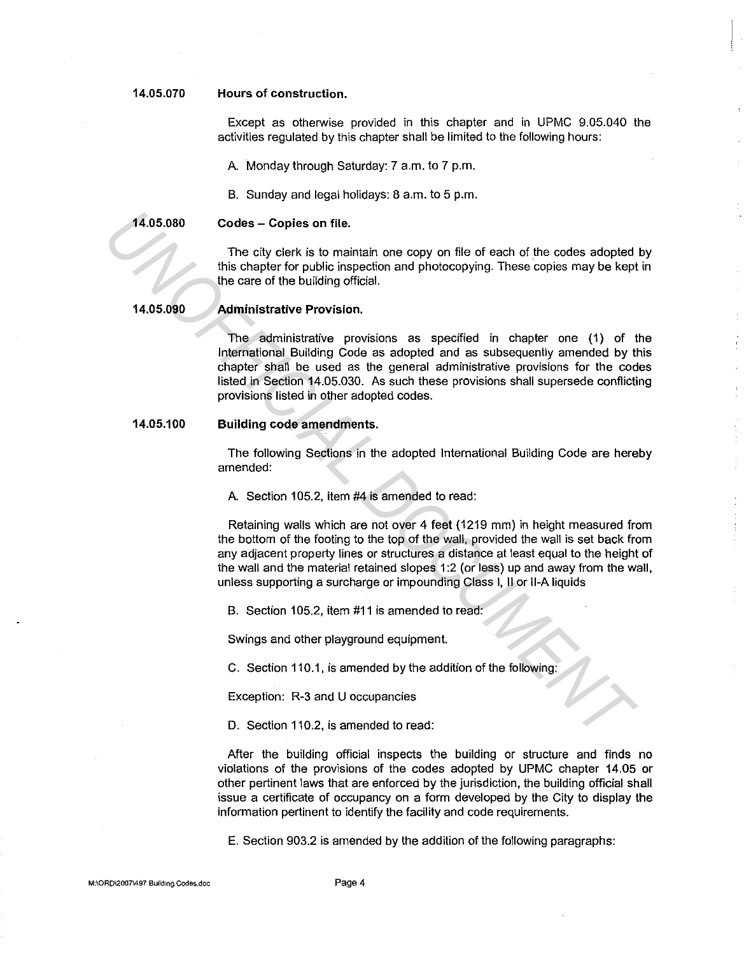### **14.05.070 Hours of construction.**

Except as otherwise provided in this chapter and in UPMC 9.05.040 the activities regulated by this chapter shall be limited to the following hours:

A. Monday through Saturday: 7 a.m. to 7 p.m.

B. Sunday and legal holidays: 8 a.m. to 5 p.m.

**14.05.080** 

**Codes - Copies on file.** 

The city clerk is to maintain one copy on file of each of the codes adopted by this chapter for public inspection and photocopying. These copies may be kept in the care of the building official.

**14.05.090** 

## **Administrative Provision.**

The administrative provisions as specified in chapter one (1) of the International Building Code as adopted and as subsequently amended by this chapter shall be used as the general administrative provisions for the codes listed in Section 14.05.030. As such these provisions shall supersede conflicting provisions listed in other adopted codes. **The city clerk is to maintain one copy on file of each of the codes adopted<br>
this chapter for public inspection and photocopying. These copies may be kept<br>
the care of the building official.<br>
<b>14.05.080**<br> **Administrative** 

### **14.05.100 Building code amendments.**

The following Sections in the adopted International Building Code are hereby amended:

A Section 105.2, item #4 is amended to read:

Retaining walls which are not over 4 feet (1219 mm) in height measured from the bottom of the footing to the top of the wall, provided the wall is set back from any adjacent property lines or structures a distance at least equal to the height of the wall and the material retained slopes 1 :2 (or less) up and away from the wall, unless supporting a surcharge or impounding Class I, II or II-A liquids

B. Section 105.2, item #11 is amended to read:

Swings and other playground equipment.

C. Section 110.1, is amended by the addition of the following:

Exception: R-3 and U occupancies

D. Section 110.2, is amended to read:

After the building official inspects the building or structure and finds no violations of the provisions of the codes adopted by UPMC chapter 14.05 or other pertinent laws that are enforced by the jurisdiction, the building official shall issue a certificate of occupancy on a form developed by the City to display the information pertinent to identify the facility and code requirements.

E. Section 903.2 is amended by the addition of the following paragraphs: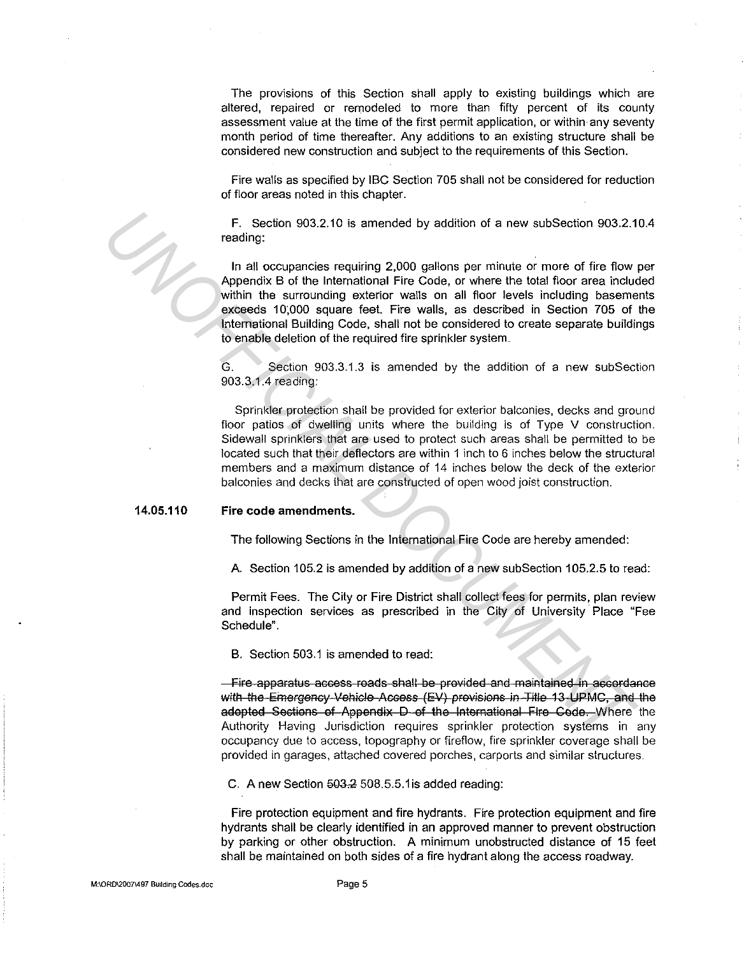The provisions of this Section shall apply to existing buildings which are altered, repaired or remodeled to more than fifty percent of its county assessment value at the time of the first permit application, or within· any seventy month period of time thereafter. Any additions to an existing structure shall be considered new construction and subject to the requirements of this Section.

Fire walls as specified by IBC Section 705 shall not be considered for reduction of floor areas noted in this chapter.

F. Section 903.2.10 is amended by addition of a new subsection 903.2.10.4 reading:

In all occupancies requiring 2,000 gallons per minute or more of fire flow per Appendix B of the International Fire Code, or where the total floor area included within the surrounding exterior walls on all floor levels including basements exceeds 10,000 square feet. Fire walls, as described in Section 705 of the International Building Code, shall not be considered to create separate buildings to enable deletion of the required fire sprinkler system.

G. Section 903.3.1.3 is amended by the addition of a new subSection 903.3.1.4 reading:

Sprinkler protection shall be provided for exterior balconies, decks and ground floor patios of dwelling units where the building is of Type V construction. Sidewall sprinklers that are used to protect such areas shall be permitted to be located such that their deflectors are within 1 inch to 6 inches below the structural members and a maximum distance of 14 inches below the deck of the exterior balconies and decks that are constructed of open wood joist construction. F. Section 903.2.10 is amended by addition of a new subSection 903.2.1<br>
In all occupancies requiring 2,000 gallons per minute or more of fire flow<br>
Appendix B of the international Fire Code, or where the total floor area i

### **14.05.110 Fire code amendments.**

The following Sections in the International Fire Code are hereby amended:

A. Section 105.2 is amended by addition of a new subSection 105.2.5 to read:

Permit Fees. The City or Fire District shall collect fees for permits, plan review and inspection services as prescribed in the City of University Place "Fee Schedule".

B. Section 503.1 is amended to read:

-Fire apparatus access roads shall be provided and maintained in accordance with the Emergency Vehicle Access (EV) provisions in Title 13 UPMC, and the adopted Sections of Appendix D of the International Fire Code. Where the Authority Having Jurisdiction requires sprinkler protection systems in any occupancy due to access, topography or fireflow, fire sprinkler coverage shall be provided in garages, attached covered porches, carports and similar structures.

C. A new Section  $503.2508.5.5.1$  is added reading:

Fire protection equipment and fire hydrants. Fire protection equipment and fire hydrants shall be clearly identified in an approved manner to prevent obstruction by parking or other obstruction. A minimum unobstructed distance of 15 feet shall be maintained on both sides of a fire hydrant along the access roadway.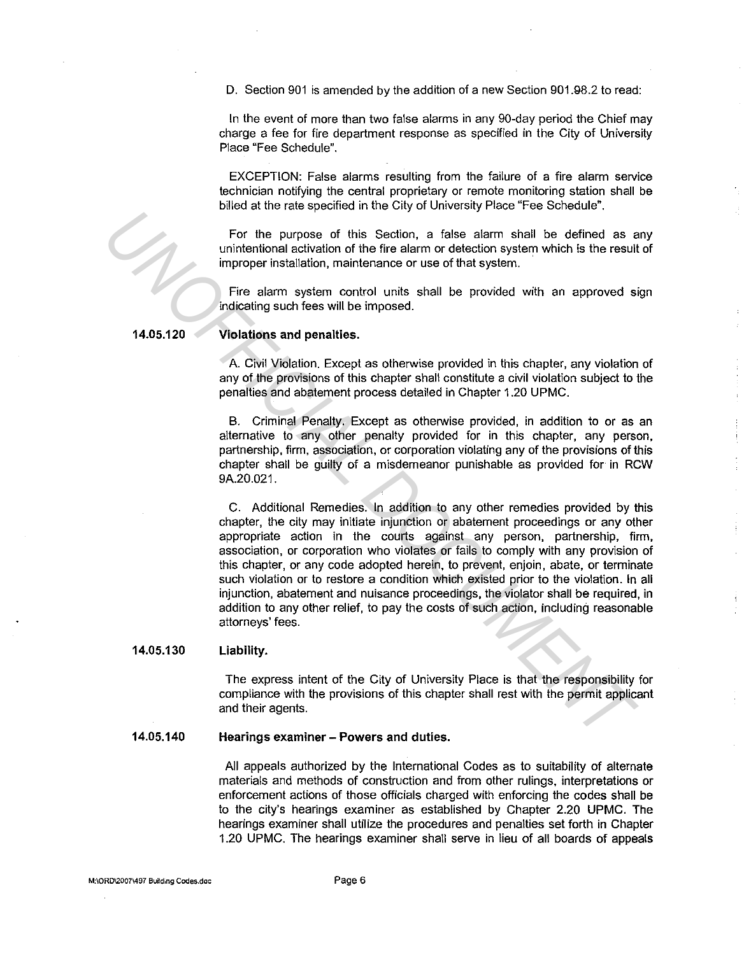D. Section 901 is amended by the addition of a new Section 901.98.2 to read:

In the event of more than two false alarms in any 90-day period the Chief may charge a fee for fire department response as specified in the City of University Place "Fee Schedule".

EXCEPTION: False alarms resulting from the failure of a fire alarm service technician notifying the central proprietary or remote monitoring station shall be billed at the rate specified in the City of University Place "Fee Schedule".

For the purpose of this Section, a false alarm shall be defined as any unintentional activation of the fire alarm or detection system which is the result of improper installation, maintenance or use of that system.

Fire alarm system control units shall be provided with an approved sign indicating such fees will be imposed.

### **14.05.120 Violations and penalties.**

A. Civil Violation. Except as otherwise provided in this chapter, any violation of any of the provisions of this chapter shall constitute a civil violation subject to the penalties and abatement process detailed in Chapter 1.20 UPMC.

B. Criminal Penalty. Except as otherwise provided, in addition to or as an alternative to any other penalty provided for in this chapter, any person, partnership, firm, association, or corporation violating any of the provisions of this chapter shall be guilty of a misdemeanor punishable as provided for in RCW 9A.20.021.

C. Additional Remedies. In addition to any other remedies provided by this chapter, the city may initiate injunction or abatement proceedings or any other appropriate action in the courts against any person, partnership, firm, association, or corporation who violates or fails to comply with any provision of this chapter, or any code adopted herein, to prevent, enjoin, abate, or terminate such violation or to restore a condition which existed prior to the violation. In all injunction, abatement and nuisance proceedings, the violator shall be required, in addition to any other relief, to pay the costs of such action, including reasonable attorneys' fees. For the purpose of this Section, a false aiarm shall be defined as unintertinonal schwain of the fire elarm or detection system which is the result improper installation, maintertaince or use of that system.<br>
The relarm sy

#### **14.05.130 Liability.**

The express intent of the City of University Place is that the responsibility for compliance with the provisions of this chapter shall rest with the permit applicant and their agents.

### **14.05.140 Hearings examiner - Powers and duties.**

All appeals authorized by the International Codes as to suitability of alternate materials and methods of construction and from other rulings, interpretations or enforcement actions of those officials charged with enforcing the codes shall be to the city's hearings examiner as established by Chapter 2.20 UPMC. The hearings examiner shall utilize the procedures and penalties set forth in Chapter 1.20 UPMC. The hearings examiner shall serve in lieu of all boards of appeals